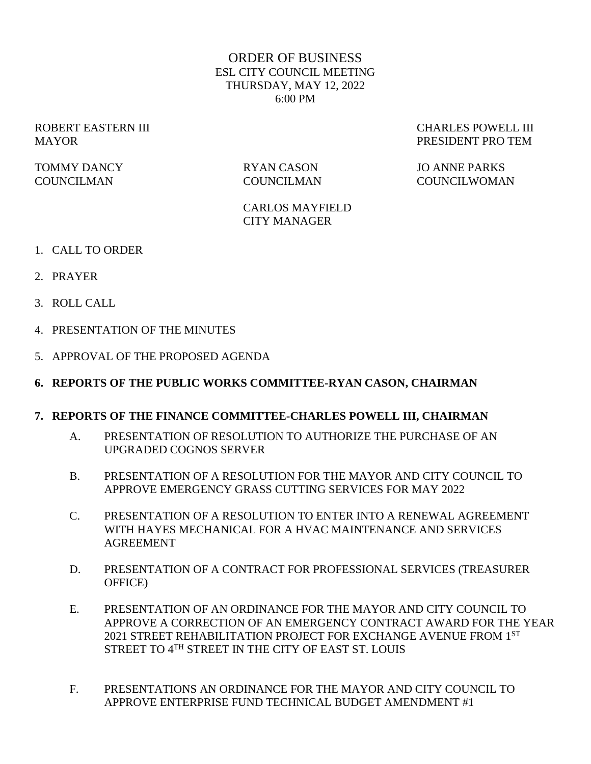### ORDER OF BUSINESS ESL CITY COUNCIL MEETING THURSDAY, MAY 12, 2022 6:00 PM

TOMMY DANCY RYAN CASON JO ANNE PARKS

ROBERT EASTERN III CHARLES POWELL III MAYOR PRESIDENT PRO TEM

# COUNCILMAN COUNCILMAN COUNCILWOMAN

CARLOS MAYFIELD CITY MANAGER

- 1. CALL TO ORDER
- 2. PRAYER
- 3. ROLL CALL
- 4. PRESENTATION OF THE MINUTES
- 5. APPROVAL OF THE PROPOSED AGENDA
- **6. REPORTS OF THE PUBLIC WORKS COMMITTEE-RYAN CASON, CHAIRMAN**

#### **7. REPORTS OF THE FINANCE COMMITTEE-CHARLES POWELL III, CHAIRMAN**

- A. PRESENTATION OF RESOLUTION TO AUTHORIZE THE PURCHASE OF AN UPGRADED COGNOS SERVER
- B. PRESENTATION OF A RESOLUTION FOR THE MAYOR AND CITY COUNCIL TO APPROVE EMERGENCY GRASS CUTTING SERVICES FOR MAY 2022
- C. PRESENTATION OF A RESOLUTION TO ENTER INTO A RENEWAL AGREEMENT WITH HAYES MECHANICAL FOR A HVAC MAINTENANCE AND SERVICES AGREEMENT
- D. PRESENTATION OF A CONTRACT FOR PROFESSIONAL SERVICES (TREASURER OFFICE)
- E. PRESENTATION OF AN ORDINANCE FOR THE MAYOR AND CITY COUNCIL TO APPROVE A CORRECTION OF AN EMERGENCY CONTRACT AWARD FOR THE YEAR 2021 STREET REHABILITATION PROJECT FOR EXCHANGE AVENUE FROM 1ST STREET TO 4TH STREET IN THE CITY OF EAST ST. LOUIS
- F. PRESENTATIONS AN ORDINANCE FOR THE MAYOR AND CITY COUNCIL TO APPROVE ENTERPRISE FUND TECHNICAL BUDGET AMENDMENT #1